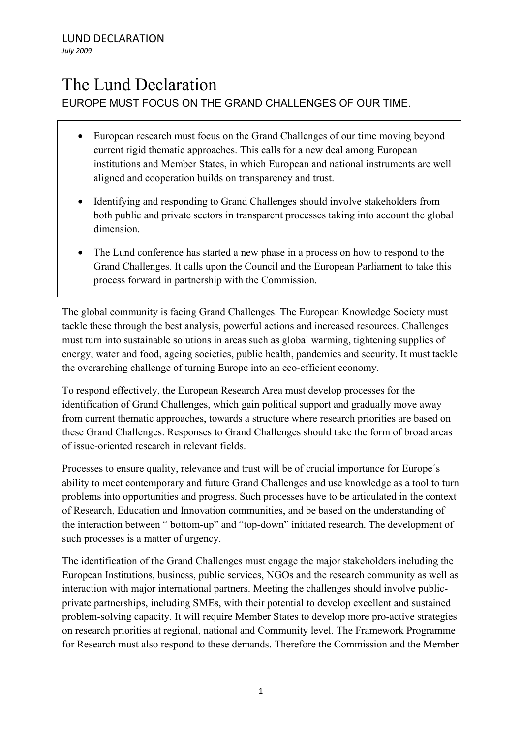## The Lund Declaration EUROPE MUST FOCUS ON THE GRAND CHALLENGES OF OUR TIME.

- European research must focus on the Grand Challenges of our time moving beyond current rigid thematic approaches. This calls for a new deal among European institutions and Member States, in which European and national instruments are well aligned and cooperation builds on transparency and trust.
- Identifying and responding to Grand Challenges should involve stakeholders from both public and private sectors in transparent processes taking into account the global dimension.
- The Lund conference has started a new phase in a process on how to respond to the Grand Challenges. It calls upon the Council and the European Parliament to take this process forward in partnership with the Commission.

The global community is facing Grand Challenges. The European Knowledge Society must tackle these through the best analysis, powerful actions and increased resources. Challenges must turn into sustainable solutions in areas such as global warming, tightening supplies of energy, water and food, ageing societies, public health, pandemics and security. It must tackle the overarching challenge of turning Europe into an eco-efficient economy.

To respond effectively, the European Research Area must develop processes for the identification of Grand Challenges, which gain political support and gradually move away from current thematic approaches, towards a structure where research priorities are based on these Grand Challenges. Responses to Grand Challenges should take the form of broad areas of issue-oriented research in relevant fields.

Processes to ensure quality, relevance and trust will be of crucial importance for Europe´s ability to meet contemporary and future Grand Challenges and use knowledge as a tool to turn problems into opportunities and progress. Such processes have to be articulated in the context of Research, Education and Innovation communities, and be based on the understanding of the interaction between " bottom-up" and "top-down" initiated research. The development of such processes is a matter of urgency.

The identification of the Grand Challenges must engage the major stakeholders including the European Institutions, business, public services, NGOs and the research community as well as interaction with major international partners. Meeting the challenges should involve publicprivate partnerships, including SMEs, with their potential to develop excellent and sustained problem-solving capacity. It will require Member States to develop more pro-active strategies on research priorities at regional, national and Community level. The Framework Programme for Research must also respond to these demands. Therefore the Commission and the Member